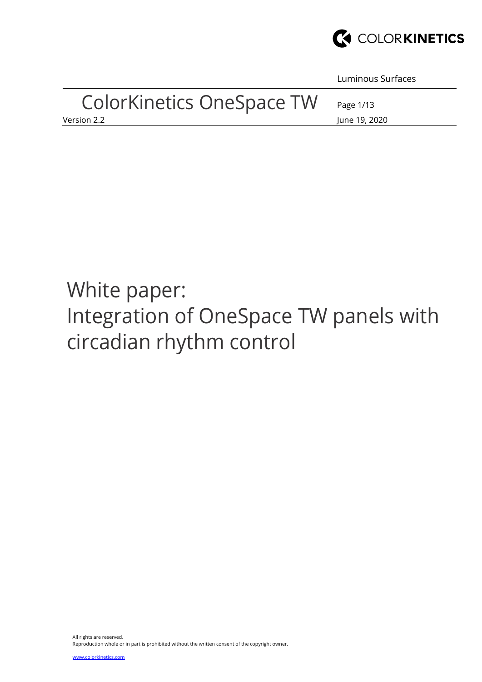

Luminous Surfaces

| <b>ColorKinetics OneSpace TW</b> | Page 1/13     |
|----------------------------------|---------------|
| Version 2.2                      | June 19, 2020 |

# White paper: Integration of OneSpace TW panels with circadian rhythm control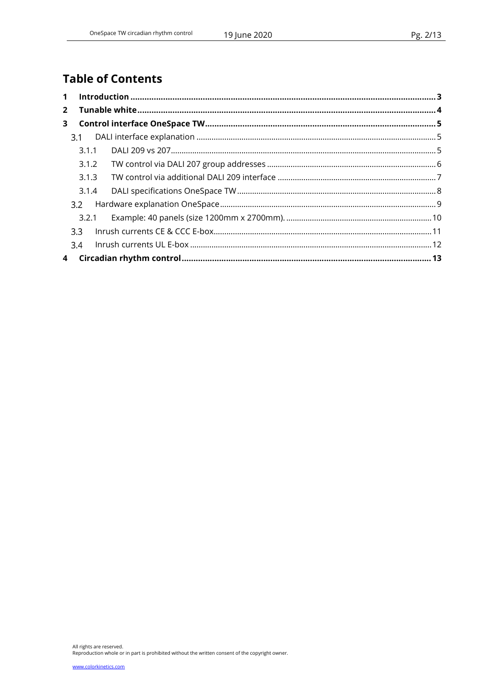# **Table of Contents**

| $\mathbf 1$ |                  |  |
|-------------|------------------|--|
| $2^{\circ}$ |                  |  |
| 3           |                  |  |
|             | 3.1              |  |
|             | 3.1.1            |  |
|             | 3.1.2            |  |
|             | 3.1.3            |  |
|             | 3.1.4            |  |
|             | 3.2              |  |
|             | 3.2.1            |  |
|             | 3.3 <sub>1</sub> |  |
|             | 3.4              |  |
|             |                  |  |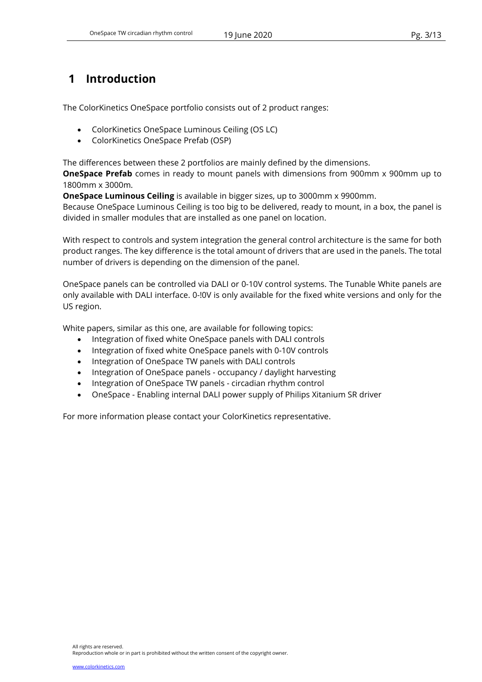# 1 Introduction

The ColorKinetics OneSpace portfolio consists out of 2 product ranges:

- ColorKinetics OneSpace Luminous Ceiling (OS LC)
- ColorKinetics OneSpace Prefab (OSP)

The differences between these 2 portfolios are mainly defined by the dimensions.

**OneSpace Prefab** comes in ready to mount panels with dimensions from 900mm x 900mm up to 1800mm x 3000m.

OneSpace Luminous Ceiling is available in bigger sizes, up to 3000mm x 9900mm.

Because OneSpace Luminous Ceiling is too big to be delivered, ready to mount, in a box, the panel is divided in smaller modules that are installed as one panel on location.

With respect to controls and system integration the general control architecture is the same for both product ranges. The key difference is the total amount of drivers that are used in the panels. The total number of drivers is depending on the dimension of the panel.

OneSpace panels can be controlled via DALI or 0-10V control systems. The Tunable White panels are only available with DALI interface. 0-!0V is only available for the fixed white versions and only for the US region.

White papers, similar as this one, are available for following topics:

- Integration of fixed white OneSpace panels with DALI controls
- Integration of fixed white OneSpace panels with 0-10V controls
- Integration of OneSpace TW panels with DALI controls
- Integration of OneSpace panels occupancy / daylight harvesting
- Integration of OneSpace TW panels circadian rhythm control
- OneSpace Enabling internal DALI power supply of Philips Xitanium SR driver

For more information please contact your ColorKinetics representative.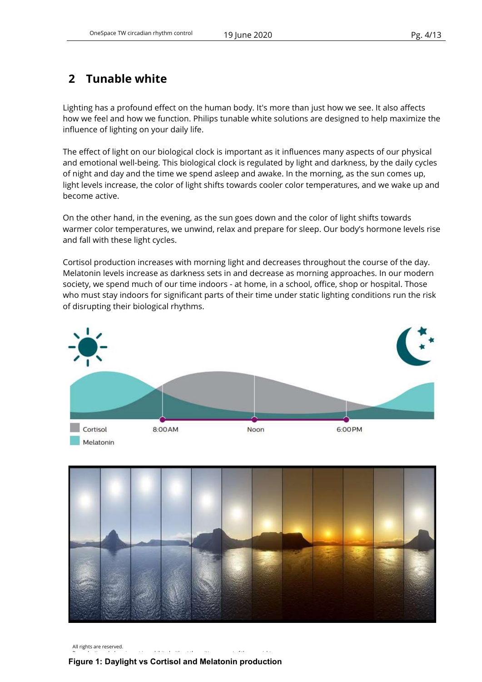# 2 Tunable white

Lighting has a profound effect on the human body. It's more than just how we see. It also affects how we feel and how we function. Philips tunable white solutions are designed to help maximize the influence of lighting on your daily life.

The effect of light on our biological clock is important as it influences many aspects of our physical and emotional well-being. This biological clock is regulated by light and darkness, by the daily cycles of night and day and the time we spend asleep and awake. In the morning, as the sun comes up, light levels increase, the color of light shifts towards cooler color temperatures, and we wake up and become active.

On the other hand, in the evening, as the sun goes down and the color of light shifts towards warmer color temperatures, we unwind, relax and prepare for sleep. Our body's hormone levels rise and fall with these light cycles.

Cortisol production increases with morning light and decreases throughout the course of the day. Melatonin levels increase as darkness sets in and decrease as morning approaches. In our modern society, we spend much of our time indoors - at home, in a school, office, shop or hospital. Those who must stay indoors for significant parts of their time under static lighting conditions run the risk of disrupting their biological rhythms.





All rights are reserved.

#### $\mathbf{v}$ Figure 1: Daylight vs Cortisol and Melatonin production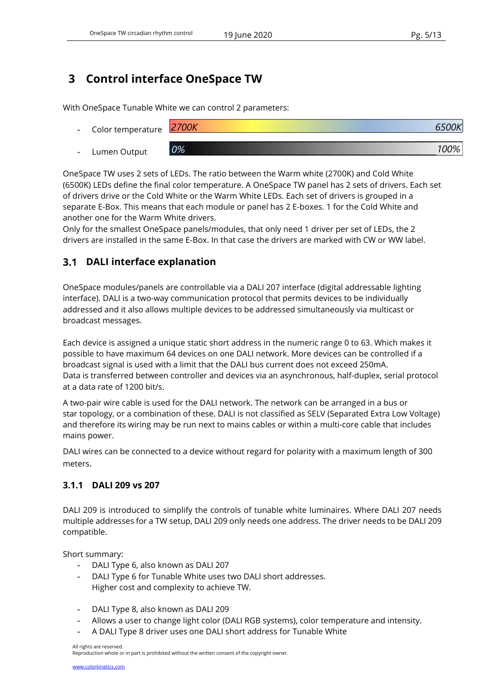# 3 Control interface OneSpace TW

With OneSpace Tunable White we can control 2 parameters:

- Color temperature <u>2700K 6500K 6500K 6500K 6500K 6500K 6500K 6500K 6500K 6500K 6500K 6500K 6500K 6500K 6500K 6500K 650 K 650 K 6</u>
- Lumen Output 0% 100%

OneSpace TW uses 2 sets of LEDs. The ratio between the Warm white (2700K) and Cold White (6500K) LEDs define the final color temperature. A OneSpace TW panel has 2 sets of drivers. Each set of drivers drive or the Cold White or the Warm White LEDs. Each set of drivers is grouped in a separate E-Box. This means that each module or panel has 2 E-boxes. 1 for the Cold White and another one for the Warm White drivers.

Only for the smallest OneSpace panels/modules, that only need 1 driver per set of LEDs, the 2 drivers are installed in the same E-Box. In that case the drivers are marked with CW or WW label.

# DALI interface explanation

OneSpace modules/panels are controllable via a DALI 207 interface (digital addressable lighting interface). DALI is a two-way communication protocol that permits devices to be individually addressed and it also allows multiple devices to be addressed simultaneously via multicast or broadcast messages.

Each device is assigned a unique static short address in the numeric range 0 to 63. Which makes it possible to have maximum 64 devices on one DALI network. More devices can be controlled if a broadcast signal is used with a limit that the DALI bus current does not exceed 250mA. Data is transferred between controller and devices via an asynchronous, half-duplex, serial protocol at a data rate of 1200 bit/s.

A two-pair wire cable is used for the DALI network. The network can be arranged in a bus or star topology, or a combination of these. DALI is not classified as SELV (Separated Extra Low Voltage) and therefore its wiring may be run next to mains cables or within a multi-core cable that includes mains power.

DALI wires can be connected to a device without regard for polarity with a maximum length of 300 meters.

## 3.1.1 DALI 209 vs 207

DALI 209 is introduced to simplify the controls of tunable white luminaires. Where DALI 207 needs multiple addresses for a TW setup, DALI 209 only needs one address. The driver needs to be DALI 209 compatible.

Short summary:

- DALI Type 6, also known as DALI 207
- DALI Type 6 for Tunable White uses two DALI short addresses. Higher cost and complexity to achieve TW.
- DALI Type 8, also known as DALI 209
- Allows a user to change light color (DALI RGB systems), color temperature and intensity.
- A DALI Type 8 driver uses one DALI short address for Tunable White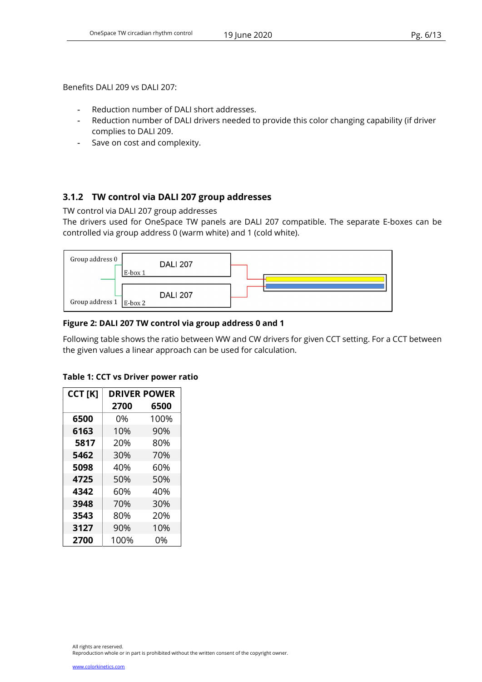Benefits DALI 209 vs DALI 207:

- Reduction number of DALI short addresses.
- Reduction number of DALI drivers needed to provide this color changing capability (if driver complies to DALI 209.
- Save on cost and complexity.

## 3.1.2 TW control via DALI 207 group addresses

TW control via DALI 207 group addresses

The drivers used for OneSpace TW panels are DALI 207 compatible. The separate E-boxes can be controlled via group address 0 (warm white) and 1 (cold white).



### Figure 2: DALI 207 TW control via group address 0 and 1

Following table shows the ratio between WW and CW drivers for given CCT setting. For a CCT between the given values a linear approach can be used for calculation.

| CCT [K] | <b>DRIVER POWER</b> |      |  |  |
|---------|---------------------|------|--|--|
|         | 2700                | 6500 |  |  |
| 6500    | 0%                  | 100% |  |  |
| 6163    | 10%                 | 90%  |  |  |
| 5817    | 20%                 | 80%  |  |  |
| 5462    | 30%                 | 70%  |  |  |
| 5098    | 40%                 | 60%  |  |  |
| 4725    | 50%                 | 50%  |  |  |
| 4342    | 60%                 | 40%  |  |  |
| 3948    | 70%                 | 30%  |  |  |
| 3543    | 80%                 | 20%  |  |  |
| 3127    | 90%                 | 10%  |  |  |
| 2700    | 100%                | 0%   |  |  |

#### Table 1: CCT vs Driver power ratio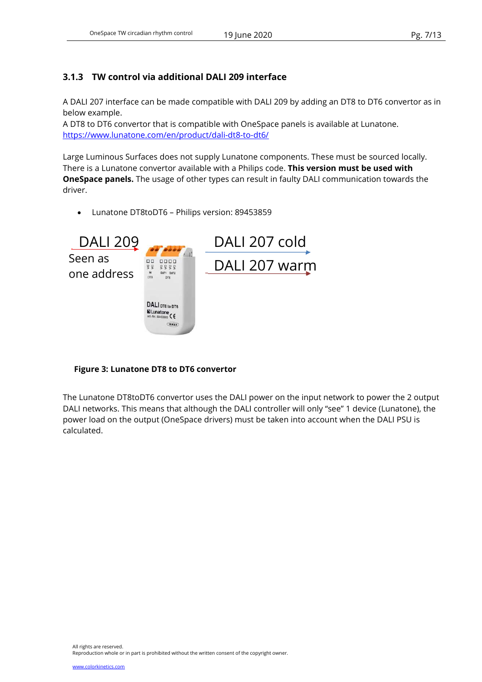## 3.1.3 TW control via additional DALI 209 interface

A DALI 207 interface can be made compatible with DALI 209 by adding an DT8 to DT6 convertor as in below example.

A DT8 to DT6 convertor that is compatible with OneSpace panels is available at Lunatone. https://www.lunatone.com/en/product/dali-dt8-to-dt6/

Large Luminous Surfaces does not supply Lunatone components. These must be sourced locally. There is a Lunatone convertor available with a Philips code. This version must be used with **OneSpace panels.** The usage of other types can result in faulty DALI communication towards the driver.

Lunatone DT8toDT6 – Philips version: 89453859



#### Figure 3: Lunatone DT8 to DT6 convertor

The Lunatone DT8toDT6 convertor uses the DALI power on the input network to power the 2 output DALI networks. This means that although the DALI controller will only "see" 1 device (Lunatone), the power load on the output (OneSpace drivers) must be taken into account when the DALI PSU is calculated.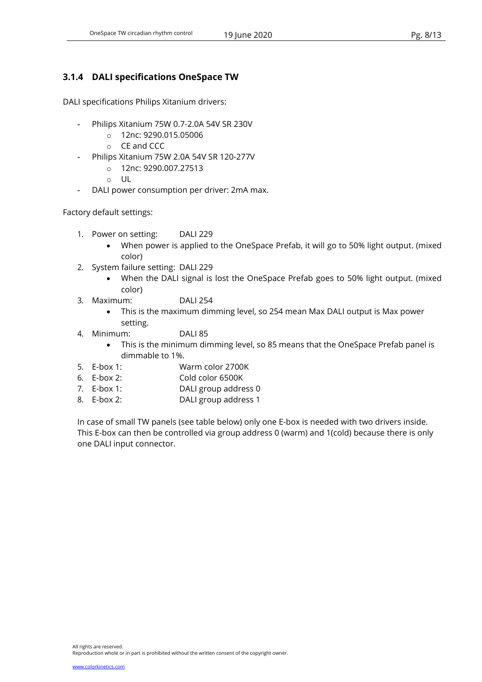## 3.1.4 DALI specifications OneSpace TW

DALI specifications Philips Xitanium drivers:

- Philips Xitanium 75W 0.7-2.0A 54V SR 230V
	- o 12nc: 9290.015.05006
	- o CE and CCC
- Philips Xitanium 75W 2.0A 54V SR 120-277V
	- o 12nc: 9290.007.27513
	- o UL
- DALI power consumption per driver: 2mA max.

Factory default settings:

- 1. Power on setting: DALI 229
	- When power is applied to the OneSpace Prefab, it will go to 50% light output. (mixed color)
- 2. System failure setting: DALI 229
	- When the DALI signal is lost the OneSpace Prefab goes to 50% light output. (mixed color)
- 3. Maximum: DALI 254
	- This is the maximum dimming level, so 254 mean Max DALI output is Max power setting.
- 4. Minimum: DALI 85
	- This is the minimum dimming level, so 85 means that the OneSpace Prefab panel is dimmable to 1%.
- 5. E-box 1: Warm color 2700K
- 6. E-box 2: Cold color 6500K
- 7. E-box 1: DALI group address 0
- 8. E-box 2: DALI group address 1

In case of small TW panels (see table below) only one E-box is needed with two drivers inside. This E-box can then be controlled via group address 0 (warm) and 1(cold) because there is only one DALI input connector.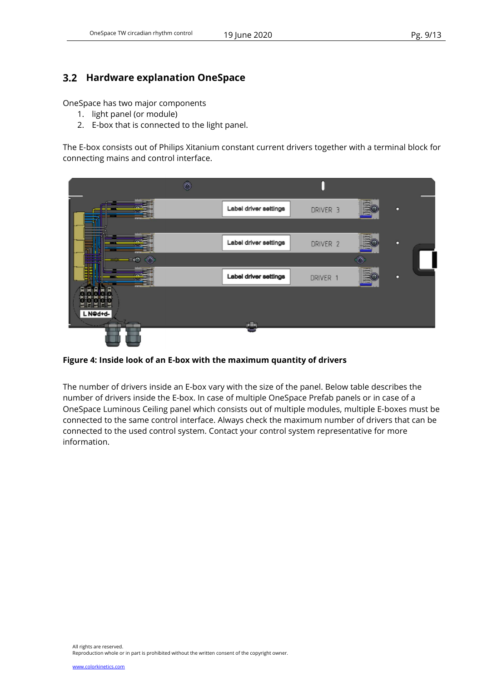## 3.2 Hardware explanation OneSpace

OneSpace has two major components

- 1. light panel (or module)
- 2. E-box that is connected to the light panel.

The E-box consists out of Philips Xitanium constant current drivers together with a terminal block for connecting mains and control interface.



Figure 4: Inside look of an E-box with the maximum quantity of drivers

The number of drivers inside an E-box vary with the size of the panel. Below table describes the number of drivers inside the E-box. In case of multiple OneSpace Prefab panels or in case of a OneSpace Luminous Ceiling panel which consists out of multiple modules, multiple E-boxes must be connected to the same control interface. Always check the maximum number of drivers that can be connected to the used control system. Contact your control system representative for more information.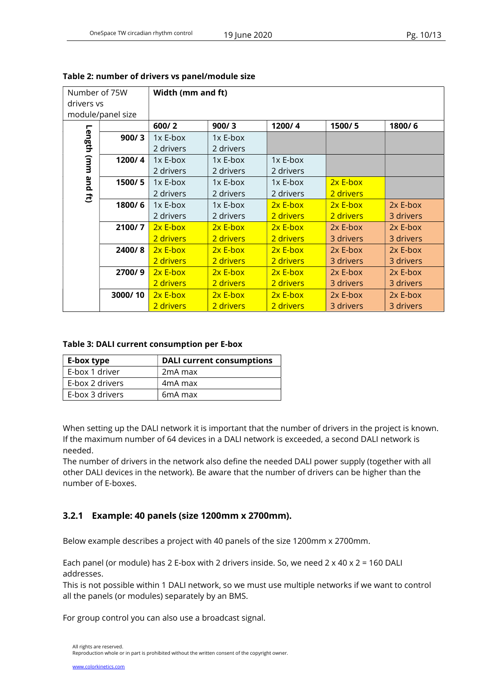| Number of 75W |                   | Width (mm and ft) |            |            |            |            |
|---------------|-------------------|-------------------|------------|------------|------------|------------|
| drivers vs    |                   |                   |            |            |            |            |
|               | module/panel size |                   |            |            |            |            |
|               |                   | 600/2             | 900/3      | 1200/4     | 1500/5     | 1800/6     |
|               | 900/3             | $1x$ E-box        | $1x$ E-box |            |            |            |
|               |                   | 2 drivers         | 2 drivers  |            |            |            |
| Length (mm    | 1200/4            | $1x$ E-box        | 1x E-box   | 1x E-box   |            |            |
|               |                   | 2 drivers         | 2 drivers  | 2 drivers  |            |            |
| pue           | 1500/5            | $1x$ E-box        | $1x$ E-box | 1x E-box   | $2x$ E-box |            |
| $\vec{E}$     |                   | 2 drivers         | 2 drivers  | 2 drivers  | 2 drivers  |            |
|               | 1800/6            | $1x$ E-box        | $1x$ E-box | $2x$ E-box | $2x E-box$ | $2x$ E-box |
|               |                   | 2 drivers         | 2 drivers  | 2 drivers  | 2 drivers  | 3 drivers  |
|               | 2100/7            | $2x$ E-box        | $2x E-box$ | $2x E-box$ | 2x E-box   | 2x E-box   |
|               |                   | 2 drivers         | 2 drivers  | 2 drivers  | 3 drivers  | 3 drivers  |
|               | 2400/8            | $2x$ E-box        | $2x$ E-box | $2x$ E-box | $2x$ E-box | 2x E-box   |
|               |                   | 2 drivers         | 2 drivers  | 2 drivers  | 3 drivers  | 3 drivers  |
|               | 2700/9            | $2x$ E-box        | $2x E-box$ | $2x$ E-box | 2x E-box   | 2x E-box   |
|               |                   | 2 drivers         | 2 drivers  | 2 drivers  | 3 drivers  | 3 drivers  |
|               | 3000/10           | $2x$ E-box        | 2x E-box   | $2x E-box$ | 2x E-box   | 2x E-box   |
|               |                   | 2 drivers         | 2 drivers  | 2 drivers  | 3 drivers  | 3 drivers  |

| Table 2: number of drivers vs panel/module size |  |
|-------------------------------------------------|--|
|-------------------------------------------------|--|

#### Table 3: DALI current consumption per E-box

| E-box type      | <b>DALI current consumptions</b> |
|-----------------|----------------------------------|
| E-box 1 driver  | 2 <sub>m</sub> A max             |
| E-box 2 drivers | 4 <sub>m</sub> A max             |
| E-box 3 drivers | 6 <sub>m</sub> A max             |

When setting up the DALI network it is important that the number of drivers in the project is known. If the maximum number of 64 devices in a DALI network is exceeded, a second DALI network is needed.

The number of drivers in the network also define the needed DALI power supply (together with all other DALI devices in the network). Be aware that the number of drivers can be higher than the number of E-boxes.

### 3.2.1 Example: 40 panels (size 1200mm x 2700mm).

Below example describes a project with 40 panels of the size 1200mm x 2700mm.

Each panel (or module) has 2 E-box with 2 drivers inside. So, we need  $2 \times 40 \times 2 = 160$  DALI addresses.

This is not possible within 1 DALI network, so we must use multiple networks if we want to control all the panels (or modules) separately by an BMS.

For group control you can also use a broadcast signal.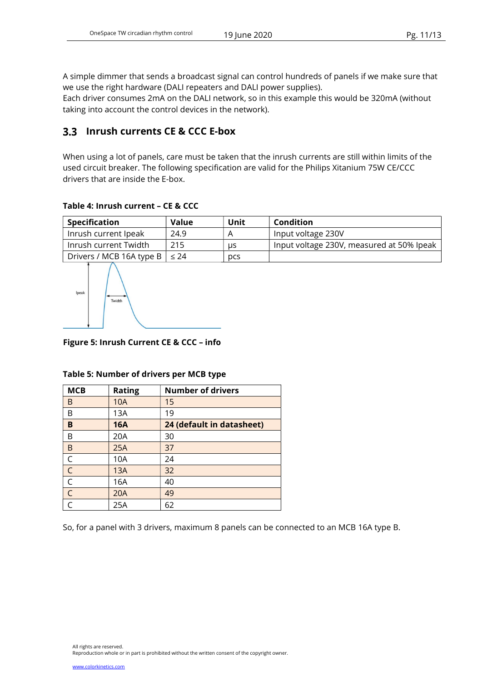A simple dimmer that sends a broadcast signal can control hundreds of panels if we make sure that we use the right hardware (DALI repeaters and DALI power supplies).

Each driver consumes 2mA on the DALI network, so in this example this would be 320mA (without taking into account the control devices in the network).

## 3.3 Inrush currents CE & CCC E-box

When using a lot of panels, care must be taken that the inrush currents are still within limits of the used circuit breaker. The following specification are valid for the Philips Xitanium 75W CE/CCC drivers that are inside the E-box.

#### Table 4: Inrush current – CE & CCC

| Specification                            | Value | Unit | Condition                                 |
|------------------------------------------|-------|------|-------------------------------------------|
| Inrush current Ipeak                     | 24.9  |      | Input voltage 230V                        |
| Inrush current Twidth                    | 215   | us   | Input voltage 230V, measured at 50% Ipeak |
| Drivers / MCB 16A type B $\vert \leq 24$ |       | pcs  |                                           |



Figure 5: Inrush Current CE & CCC – info

| <b>MCB</b>     | <b>Rating</b> | <b>Number of drivers</b>  |
|----------------|---------------|---------------------------|
| B              | <b>10A</b>    | 15                        |
| B              | 13A           | 19                        |
| B              | <b>16A</b>    | 24 (default in datasheet) |
| Β              | 20A           | 30                        |
| $\mathsf B$    | 25A           | 37                        |
| $\mathsf C$    | 10A           | 24                        |
| $\overline{C}$ | 13A           | 32                        |
| $\overline{C}$ | 16A           | 40                        |
| $\overline{C}$ | 20A           | 49                        |
|                | 25A           | 62                        |

#### Table 5: Number of drivers per MCB type

So, for a panel with 3 drivers, maximum 8 panels can be connected to an MCB 16A type B.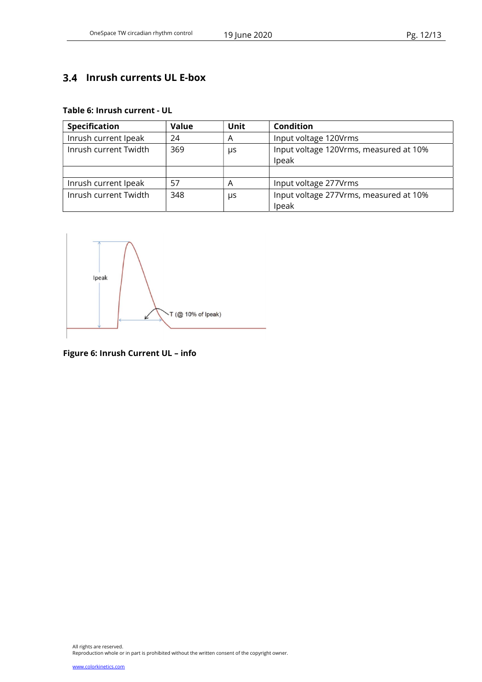# 3.4 Inrush currents UL E-box

#### Table 6: Inrush current - UL

| <b>Specification</b>  | <b>Value</b> | Unit | Condition                                       |
|-----------------------|--------------|------|-------------------------------------------------|
| Inrush current Ipeak  | 24           | A    | Input voltage 120Vrms                           |
| Inrush current Twidth | 369          | μs   | Input voltage 120Vrms, measured at 10%<br>Ipeak |
|                       |              |      |                                                 |
| Inrush current Ipeak  | 57           | Α    | Input voltage 277Vrms                           |
| Inrush current Twidth | 348          | μs   | Input voltage 277Vrms, measured at 10%<br>Ipeak |



Figure 6: Inrush Current UL – info